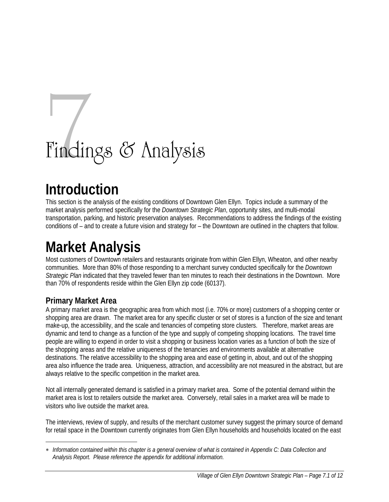# Findings & Analysis

## **Introduction**

This section is the analysis of the existing conditions of Downtown Glen Ellyn. Topics include a summary of the market analysis performed specifically for the *Downtown Strategic Plan*, opportunity sites, and multi-modal transportation, parking, and historic preservation analyses. Recommendations to address the findings of the existing conditions of – and to create a future vision and strategy for – the Downtown are outlined in the chapters that follow.

# **Market Analysis**

Most customers of Downtown retailers and restaurants originate from within Glen Ellyn, Wheaton, and other nearby communities. More than 80% of those responding to a merchant survey conducted specifically for the *Downtown Strategic Plan* indicated that they traveled fewer than ten minutes to reach their destinations in the Downtown. More than 70% of respondents reside within the Glen Ellyn zip code (60137).

### **Primary Market Area**

 $\overline{a}$ 

A primary market area is the geographic area from which most (i.e. 70% or more) customers of a shopping center or shopping area are drawn. The market area for any specific cluster or set of stores is a function of the size and tenant make-up, the accessibility, and the scale and tenancies of competing store clusters. Therefore, market areas are dynamic and tend to change as a function of the type and supply of competing shopping locations. The travel time people are willing to expend in order to visit a shopping or business location varies as a function of both the size of the shopping areas and the relative uniqueness of the tenancies and environments available at alternative destinations. The relative accessibility to the shopping area and ease of getting in, about, and out of the shopping area also influence the trade area. Uniqueness, attraction, and accessibility are not measured in the abstract, but are always relative to the specific competition in the market area.

Not all internally generated demand is satisfied in a primary market area. Some of the potential demand within the market area is lost to retailers outside the market area. Conversely, retail sales in a market area will be made to visitors who live outside the market area.

The interviews, review of supply, and results of the merchant customer survey suggest the primary source of demand for retail space in the Downtown currently originates from Glen Ellyn households and households located on the east

<sup>∗</sup> *Information contained within this chapter is a general overview of what is contained in Appendix C: Data Collection and Analysis Report. Please reference the appendix for additional information.*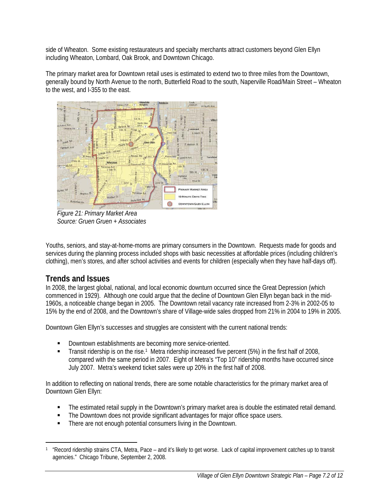side of Wheaton. Some existing restaurateurs and specialty merchants attract customers beyond Glen Ellyn including Wheaton, Lombard, Oak Brook, and Downtown Chicago.

The primary market area for Downtown retail uses is estimated to extend two to three miles from the Downtown, generally bound by North Avenue to the north, Butterfield Road to the south, Naperville Road/Main Street – Wheaton to the west, and I-355 to the east.



*Figure 21: Primary Market Area Source: Gruen Gruen + Associates*

Youths, seniors, and stay-at-home-moms are primary consumers in the Downtown. Requests made for goods and services during the planning process included shops with basic necessities at affordable prices (including children's clothing), men's stores, and after school activities and events for children (especially when they have half-days off).

### **Trends and Issues**

 $\overline{a}$ 

In 2008, the largest global, national, and local economic downturn occurred since the Great Depression (which commenced in 1929). Although one could argue that the decline of Downtown Glen Ellyn began back in the mid-1960s, a noticeable change began in 2005. The Downtown retail vacancy rate increased from 2-3% in 2002-05 to 15% by the end of 2008, and the Downtown's share of Village-wide sales dropped from 21% in 2004 to 19% in 2005.

Downtown Glen Ellyn's successes and struggles are consistent with the current national trends:

- **Downtown establishments are becoming more service-oriented.**
- Transit ridership is on the rise.1 Metra ridership increased five percent (5%) in the first half of 2008, compared with the same period in 2007. Eight of Metra's "Top 10" ridership months have occurred since July 2007. Metra's weekend ticket sales were up 20% in the first half of 2008.

In addition to reflecting on national trends, there are some notable characteristics for the primary market area of Downtown Glen Ellyn:

- The estimated retail supply in the Downtown's primary market area is double the estimated retail demand.
- The Downtown does not provide significant advantages for major office space users.
- There are not enough potential consumers living in the Downtown.

<sup>1 &</sup>quot;Record ridership strains CTA, Metra, Pace – and it's likely to get worse. Lack of capital improvement catches up to transit agencies." Chicago Tribune, September 2, 2008.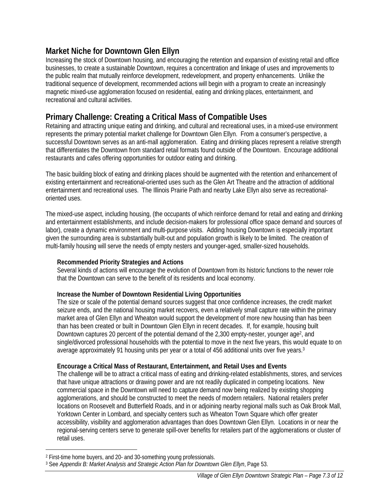### **Market Niche for Downtown Glen Ellyn**

Increasing the stock of Downtown housing, and encouraging the retention and expansion of existing retail and office businesses, to create a sustainable Downtown, requires a concentration and linkage of uses and improvements to the public realm that mutually reinforce development, redevelopment, and property enhancements. Unlike the traditional sequence of development, recommended actions will begin with a program to create an increasingly magnetic mixed-use agglomeration focused on residential, eating and drinking places, entertainment, and recreational and cultural activities.

### **Primary Challenge: Creating a Critical Mass of Compatible Uses**

Retaining and attracting unique eating and drinking, and cultural and recreational uses, in a mixed-use environment represents the primary potential market challenge for Downtown Glen Ellyn. From a consumer's perspective, a successful Downtown serves as an anti-mall agglomeration. Eating and drinking places represent a relative strength that differentiates the Downtown from standard retail formats found outside of the Downtown. Encourage additional restaurants and cafes offering opportunities for outdoor eating and drinking.

The basic building block of eating and drinking places should be augmented with the retention and enhancement of existing entertainment and recreational-oriented uses such as the Glen Art Theatre and the attraction of additional entertainment and recreational uses. The Illinois Prairie Path and nearby Lake Ellyn also serve as recreationaloriented uses.

The mixed-use aspect, including housing, (the occupants of which reinforce demand for retail and eating and drinking and entertainment establishments, and include decision-makers for professional office space demand and sources of labor), create a dynamic environment and multi-purpose visits. Adding housing Downtown is especially important given the surrounding area is substantially built-out and population growth is likely to be limited. The creation of multi-family housing will serve the needs of empty nesters and younger-aged, smaller-sized households.

#### **Recommended Priority Strategies and Actions**

Several kinds of actions will encourage the evolution of Downtown from its historic functions to the newer role that the Downtown can serve to the benefit of its residents and local economy.

#### **Increase the Number of Downtown Residential Living Opportunities**

The size or scale of the potential demand sources suggest that once confidence increases, the credit market seizure ends, and the national housing market recovers, even a relatively small capture rate within the primary market area of Glen Ellyn and Wheaton would support the development of more new housing than has been than has been created or built in Downtown Glen Ellyn in recent decades. If, for example, housing built Downtown captures 20 percent of the potential demand of the 2,300 empty-nester, younger age<sup>2</sup>, and single/divorced professional households with the potential to move in the next five years, this would equate to on average approximately 91 housing units per year or a total of 456 additional units over five years.3

#### **Encourage a Critical Mass of Restaurant, Entertainment, and Retail Uses and Events**

The challenge will be to attract a critical mass of eating and drinking-related establishments, stores, and services that have unique attractions or drawing power and are not readily duplicated in competing locations. New commercial space in the Downtown will need to capture demand now being realized by existing shopping agglomerations, and should be constructed to meet the needs of modern retailers. National retailers prefer locations on Roosevelt and Butterfield Roads, and in or adjoining nearby regional malls such as Oak Brook Mall, Yorktown Center in Lombard, and specialty centers such as Wheaton Town Square which offer greater accessibility, visibility and agglomeration advantages than does Downtown Glen Ellyn. Locations in or near the regional-serving centers serve to generate spill-over benefits for retailers part of the agglomerations or cluster of retail uses.

 $\overline{a}$ 

<sup>2</sup> First-time home buyers, and 20- and 30-something young professionals.

<sup>3</sup> See *Appendix B: Market Analysis and Strategic Action Plan for Downtown Glen Ellyn*, Page 53.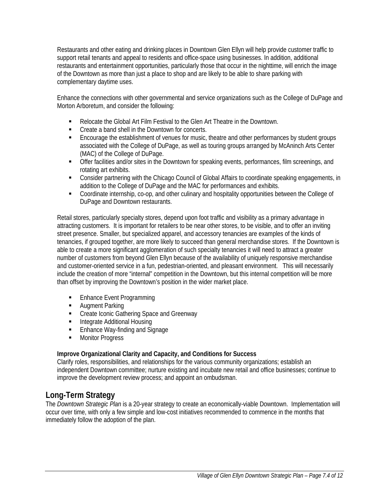Restaurants and other eating and drinking places in Downtown Glen Ellyn will help provide customer traffic to support retail tenants and appeal to residents and office-space using businesses. In addition, additional restaurants and entertainment opportunities, particularly those that occur in the nighttime, will enrich the image of the Downtown as more than just a place to shop and are likely to be able to share parking with complementary daytime uses.

Enhance the connections with other governmental and service organizations such as the College of DuPage and Morton Arboretum, and consider the following:

- Relocate the Global Art Film Festival to the Glen Art Theatre in the Downtown.
- Create a band shell in the Downtown for concerts.
- **Encourage the establishment of venues for music, theatre and other performances by student groups** associated with the College of DuPage, as well as touring groups arranged by McAninch Arts Center (MAC) of the College of DuPage.
- Offer facilities and/or sites in the Downtown for speaking events, performances, film screenings, and rotating art exhibits.
- Consider partnering with the Chicago Council of Global Affairs to coordinate speaking engagements, in addition to the College of DuPage and the MAC for performances and exhibits.
- Coordinate internship, co-op, and other culinary and hospitality opportunities between the College of DuPage and Downtown restaurants.

Retail stores, particularly specialty stores, depend upon foot traffic and visibility as a primary advantage in attracting customers. It is important for retailers to be near other stores, to be visible, and to offer an inviting street presence. Smaller, but specialized apparel, and accessory tenancies are examples of the kinds of tenancies, if grouped together, are more likely to succeed than general merchandise stores. If the Downtown is able to create a more significant agglomeration of such specialty tenancies it will need to attract a greater number of customers from beyond Glen Ellyn because of the availability of uniquely responsive merchandise and customer-oriented service in a fun, pedestrian-oriented, and pleasant environment. This will necessarily include the creation of more "internal" competition in the Downtown, but this internal competition will be more than offset by improving the Downtown's position in the wider market place.

- **Enhance Event Programming**
- **Augment Parking**
- **EXECTE 2018 Create Iconic Gathering Space and Greenway**
- Integrate Additional Housing
- **Enhance Way-finding and Signage**
- **Monitor Progress**

#### **Improve Organizational Clarity and Capacity, and Conditions for Success**

Clarify roles, responsibilities, and relationships for the various community organizations; establish an independent Downtown committee; nurture existing and incubate new retail and office businesses; continue to improve the development review process; and appoint an ombudsman.

### **Long-Term Strategy**

The *Downtown Strategic Plan* is a 20-year strategy to create an economically-viable Downtown. Implementation will occur over time, with only a few simple and low-cost initiatives recommended to commence in the months that immediately follow the adoption of the plan.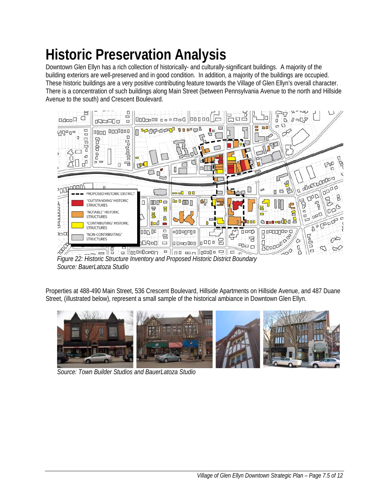# **Historic Preservation Analysis**

Downtown Glen Ellyn has a rich collection of historically- and culturally-significant buildings. A majority of the building exteriors are well-preserved and in good condition. In addition, a majority of the buildings are occupied. These historic buildings are a very positive contributing feature towards the Village of Glen Ellyn's overall character. There is a concentration of such buildings along Main Street (between Pennsylvania Avenue to the north and Hillside Avenue to the south) and Crescent Boulevard.



*Figure 22: Historic Structure Inventory and Proposed Historic District Boundary Source: BauerLatoza Studio* 

Properties at 488-490 Main Street, 536 Crescent Boulevard, Hillside Apartments on Hillside Avenue, and 487 Duane Street, (illustrated below), represent a small sample of the historical ambiance in Downtown Glen Ellyn.



*Source: Town Builder Studios and BauerLatoza Studio*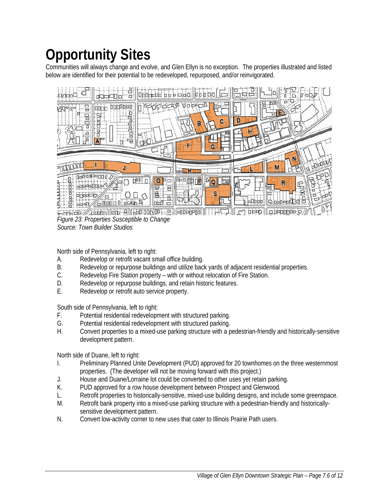# **Opportunity Sites**

Communities will always change and evolve, and Glen Ellyn is no exception. The properties illustrated and listed below are identified for their potential to be redeveloped, repurposed, and/or reinvigorated.



*Figure 23: Properties Susceptible to Change Source: Town Builder Studios*

North side of Pennsylvania, left to right:

- A. Redevelop or retrofit vacant small office building.
- B. Redevelop or repurpose buildings and utilize back yards of adjacent residential properties.
- C. Redevelop Fire Station property with or without relocation of Fire Station.
- D. Redevelop or repurpose buildings, and retain historic features.
- E. Redevelop or retrofit auto service property.

South side of Pennsylvania, left to right:

- F. Potential residential redevelopment with structured parking.
- G. Potential residential redevelopment with structured parking.
- H. Convert properties to a mixed-use parking structure with a pedestrian-friendly and historically-sensitive development pattern.

North side of Duane, left to right:

- I. Preliminary Planned Unite Development (PUD) approved for 20 townhomes on the three westernmost properties. (The developer will not be moving forward with this project.)
- J. House and Duane/Lorraine lot could be converted to other uses yet retain parking.
- K. PUD approved for a row house development between Prospect and Glenwood.
- L. Retrofit properties to historically-sensitive, mixed-use building designs, and include some greenspace.
- M. Retrofit bank property into a mixed-use parking structure with a pedestrian-friendly and historicallysensitive development pattern.
- N. Convert low-activity corner to new uses that cater to Illinois Prairie Path users.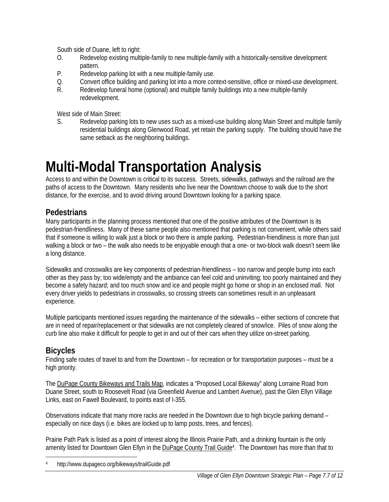South side of Duane, left to right:

- O. Redevelop existing multiple-family to new multiple-family with a historically-sensitive development pattern.
- P. Redevelop parking lot with a new multiple-family use.
- Q. Convert office building and parking lot into a more context-sensitive, office or mixed-use development.
- R. Redevelop funeral home (optional) and multiple family buildings into a new multiple-family redevelopment.

West side of Main Street:

S. Redevelop parking lots to new uses such as a mixed-use building along Main Street and multiple family residential buildings along Glenwood Road, yet retain the parking supply. The building should have the same setback as the neighboring buildings.

### **Multi-Modal Transportation Analysis**

Access to and within the Downtown is critical to its success. Streets, sidewalks, pathways and the railroad are the paths of access to the Downtown. Many residents who live near the Downtown choose to walk due to the short distance, for the exercise, and to avoid driving around Downtown looking for a parking space.

### **Pedestrians**

Many participants in the planning process mentioned that one of the positive attributes of the Downtown is its pedestrian-friendliness. Many of these same people also mentioned that parking is not convenient, while others said that if someone is willing to walk just a block or two there is ample parking. Pedestrian-friendliness is more than just walking a block or two – the walk also needs to be enjoyable enough that a one- or two-block walk doesn't seem like a long distance.

Sidewalks and crosswalks are key components of pedestrian-friendliness – too narrow and people bump into each other as they pass by; too wide/empty and the ambiance can feel cold and uninviting; too poorly maintained and they become a safety hazard; and too much snow and ice and people might go home or shop in an enclosed mall. Not every driver yields to pedestrians in crosswalks, so crossing streets can sometimes result in an unpleasant experience.

Multiple participants mentioned issues regarding the maintenance of the sidewalks – either sections of concrete that are in need of repair/replacement or that sidewalks are not completely cleared of snow/ice. Piles of snow along the curb line also make it difficult for people to get in and out of their cars when they utilize on-street parking.

### **Bicycles**

Finding safe routes of travel to and from the Downtown – for recreation or for transportation purposes – must be a high priority.

The DuPage County Bikeways and Trails Map, indicates a "Proposed Local Bikeway" along Lorraine Road from Duane Street, south to Roosevelt Road (via Greenfield Avenue and Lambert Avenue), past the Glen Ellyn Village Links, east on Fawell Boulevard, to points east of I-355.

Observations indicate that many more racks are needed in the Downtown due to high bicycle parking demand – especially on nice days (i.e. bikes are locked up to lamp posts, trees, and fences).

Prairie Path Park is listed as a point of interest along the Illinois Prairie Path, and a drinking fountain is the only amenity listed for Downtown Glen Ellyn in the DuPage County Trail Guide4. The Downtown has more than that to

 $\overline{a}$ 4 http://www.dupageco.org/bikeways/trailGuide.pdf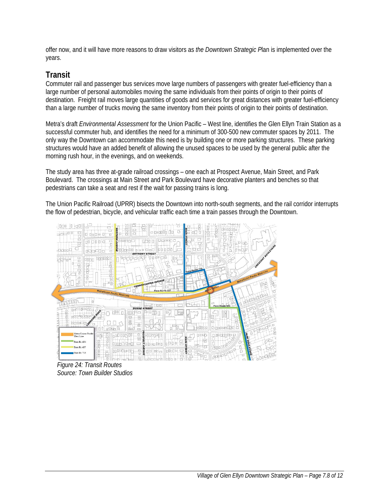offer now, and it will have more reasons to draw visitors as *the Downtown Strategic P*lan is implemented over the years.

#### **Transit**

Commuter rail and passenger bus services move large numbers of passengers with greater fuel-efficiency than a large number of personal automobiles moving the same individuals from their points of origin to their points of destination. Freight rail moves large quantities of goods and services for great distances with greater fuel-efficiency than a large number of trucks moving the same inventory from their points of origin to their points of destination.

Metra's draft *Environmental Assessment* for the Union Pacific – West line, identifies the Glen Ellyn Train Station as a successful commuter hub, and identifies the need for a minimum of 300-500 new commuter spaces by 2011. The only way the Downtown can accommodate this need is by building one or more parking structures. These parking structures would have an added benefit of allowing the unused spaces to be used by the general public after the morning rush hour, in the evenings, and on weekends.

The study area has three at-grade railroad crossings – one each at Prospect Avenue, Main Street, and Park Boulevard. The crossings at Main Street and Park Boulevard have decorative planters and benches so that pedestrians can take a seat and rest if the wait for passing trains is long.

The Union Pacific Railroad (UPRR) bisects the Downtown into north-south segments, and the rail corridor interrupts the flow of pedestrian, bicycle, and vehicular traffic each time a train passes through the Downtown.



*Figure 24: Transit Routes Source: Town Builder Studios*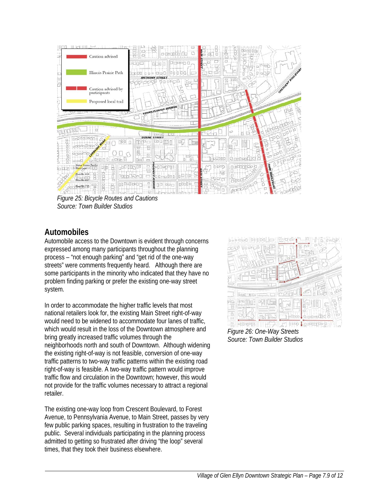

*Figure 25: Bicycle Routes and Cautions Source: Town Builder Studios*

### **Automobiles**

Automobile access to the Downtown is evident through concerns expressed among many participants throughout the planning process – "not enough parking" and "get rid of the one-way streets" were comments frequently heard. Although there are some participants in the minority who indicated that they have no problem finding parking or prefer the existing one-way street system.

In order to accommodate the higher traffic levels that most national retailers look for, the existing Main Street right-of-way would need to be widened to accommodate four lanes of traffic, which would result in the loss of the Downtown atmosphere and bring greatly increased traffic volumes through the neighborhoods north and south of Downtown. Although widening the existing right-of-way is not feasible, conversion of one-way traffic patterns to two-way traffic patterns within the existing road right-of-way is feasible. A two-way traffic pattern would improve traffic flow and circulation in the Downtown; however, this would not provide for the traffic volumes necessary to attract a regional retailer.

The existing one-way loop from Crescent Boulevard, to Forest Avenue, to Pennsylvania Avenue, to Main Street, passes by very few public parking spaces, resulting in frustration to the traveling public. Several individuals participating in the planning process admitted to getting so frustrated after driving "the loop" several times, that they took their business elsewhere.



*Figure 26: One-Way Streets Source: Town Builder Studios*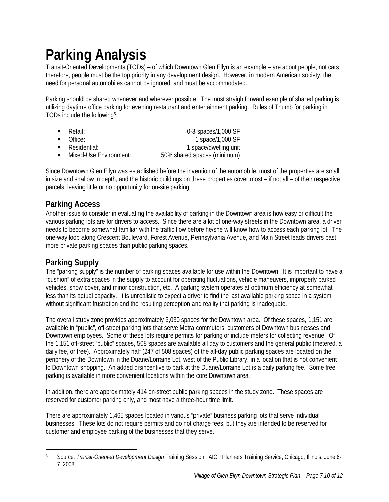# **Parking Analysis**

Transit-Oriented Developments (TODs) – of which Downtown Glen Ellyn is an example – are about people, not cars; therefore, people must be the top priority in any development design. However, in modern American society, the need for personal automobiles cannot be ignored, and must be accommodated.

Parking should be shared whenever and wherever possible. The most straightforward example of shared parking is utilizing daytime office parking for evening restaurant and entertainment parking. Rules of Thumb for parking in TODs include the following5:

- Retail: 0-3 spaces/1,000 SF
- - Office: 1 space/1,000 SF
	- Residential: 1 space/dwelling unit
	- Mixed-Use Environment: 50% shared spaces (minimum)

Since Downtown Glen Ellyn was established before the invention of the automobile, most of the properties are small in size and shallow in depth, and the historic buildings on these properties cover most – if not all – of their respective parcels, leaving little or no opportunity for on-site parking.

### **Parking Access**

Another issue to consider in evaluating the availability of parking in the Downtown area is how easy or difficult the various parking lots are for drivers to access. Since there are a lot of one-way streets in the Downtown area, a driver needs to become somewhat familiar with the traffic flow before he/she will know how to access each parking lot. The one-way loop along Crescent Boulevard, Forest Avenue, Pennsylvania Avenue, and Main Street leads drivers past more private parking spaces than public parking spaces.

### **Parking Supply**

The "parking supply" is the number of parking spaces available for use within the Downtown. It is important to have a "cushion" of extra spaces in the supply to account for operating fluctuations, vehicle maneuvers, improperly parked vehicles, snow cover, and minor construction, etc. A parking system operates at optimum efficiency at somewhat less than its actual capacity. It is unrealistic to expect a driver to find the last available parking space in a system without significant frustration and the resulting perception and reality that parking is inadequate.

The overall study zone provides approximately 3,030 spaces for the Downtown area. Of these spaces, 1,151 are available in "public", off-street parking lots that serve Metra commuters, customers of Downtown businesses and Downtown employees. Some of these lots require permits for parking or include meters for collecting revenue. Of the 1,151 off-street "public" spaces, 508 spaces are available all day to customers and the general public (metered, a daily fee, or free). Approximately half (247 of 508 spaces) of the all-day public parking spaces are located on the periphery of the Downtown in the Duane/Lorraine Lot, west of the Public Library, in a location that is not convenient to Downtown shopping. An added disincentive to park at the Duane/Lorraine Lot is a daily parking fee. Some free parking is available in more convenient locations within the core Downtown area.

In addition, there are approximately 414 on-street public parking spaces in the study zone. These spaces are reserved for customer parking only, and most have a three-hour time limit.

There are approximately 1,465 spaces located in various "private" business parking lots that serve individual businesses. These lots do not require permits and do not charge fees, but they are intended to be reserved for customer and employee parking of the businesses that they serve.

 $\overline{a}$ 5 Source: *Transit-Oriented Development Design* Training Session. AICP Planners Training Service, Chicago, Illinois, June 6- 7, 2008.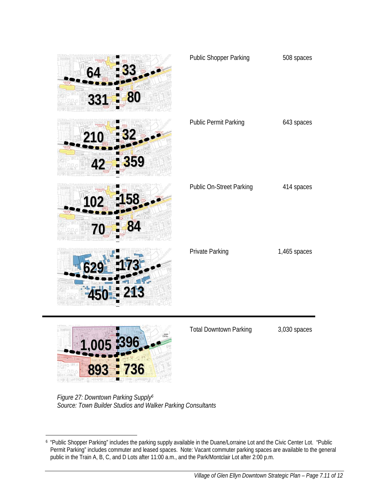| 8<br>331            | Public Shopper Parking          | 508 spaces   |
|---------------------|---------------------------------|--------------|
| 359                 | <b>Public Permit Parking</b>    | 643 spaces   |
|                     | <b>Public On-Street Parking</b> | 414 spaces   |
| 213                 | Private Parking                 | 1,465 spaces |
| <b>396</b><br>1,005 | <b>Total Downtown Parking</b>   | 3,030 spaces |

*Figure 27: Downtown Parking Supply6 Source: Town Builder Studios and Walker Parking Consultants* 

**893 736**

 $\overline{a}$ 6 "Public Shopper Parking" includes the parking supply available in the Duane/Lorraine Lot and the Civic Center Lot. "Public Permit Parking" includes commuter and leased spaces. Note: Vacant commuter parking spaces are available to the general public in the Train A, B, C, and D Lots after 11:00 a.m., and the Park/Montclair Lot after 2:00 p.m.